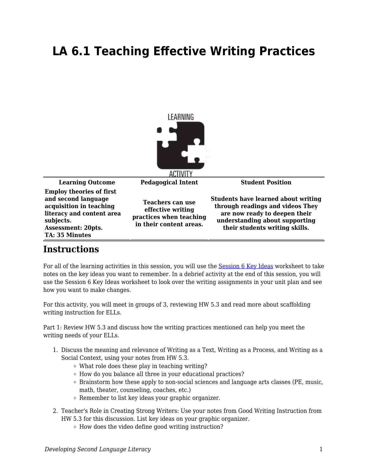## **LA 6.1 Teaching Effective Writing Practices**



## **Instructions**

For all of the learning activities in this session, you will use the [Session 6 Key Ideas](https://byu.box.com/s/93j66n8zsv2f740k3vs9lrquofydn2n2) worksheet to take notes on the key ideas you want to remember. In a debrief activity at the end of this session, you will use the Session 6 Key Ideas worksheet to look over the writing assignments in your unit plan and see how you want to make changes.

For this activity, you will meet in groups of 3, reviewing HW 5.3 and read more about scaffolding writing instruction for ELLs.

Part 1: Review HW 5.3 and discuss how the writing practices mentioned can help you meet the writing needs of your ELLs.

- 1. Discuss the meaning and relevance of Writing as a Text, Writing as a Process, and Writing as a Social Context, using your notes from HW 5.3.
	- What role does these play in teaching writing?
	- $\circ$  How do you balance all three in your educational practices?
	- $\circ$  Brainstorm how these apply to non-social sciences and language arts classes (PE, music, math, theater, counseling, coaches, etc.)
	- $\circ$  Remember to list key ideas your graphic organizer.
- 2. Teacher's Role in Creating Strong Writers: Use your notes from Good Writing Instruction from HW 5.3 for this discussion. List key ideas on your graphic organizer.
	- How does the video define good writing instruction?